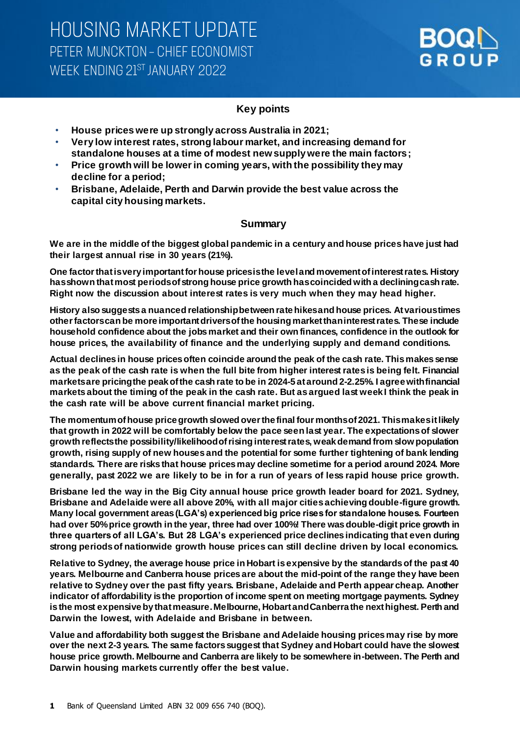

## **Key points**

- **House prices were up strongly across Australia in 2021;**
- **Very low interest rates, strong labour market, and increasing demand for standalone houses at a time of modest new supply were the main factors;**
- **Price growth will be lower in coming years, with the possibility they may decline for a period;**
- **Brisbane, Adelaide, Perth and Darwin provide the best value across the capital city housing markets.**

## **Summary**

**We are in the middle of the biggest global pandemic in a century and house prices have just had their largest annual rise in 30 years (21%).** 

**One factor that is very important for house prices is the level and movement of interest rates. History has shown that most periods of strong house price growth has coincided with a declining cash rate. Right now the discussion about interest rates is very much when they may head higher.** 

**History also suggests a nuanced relationship between rate hikes and house prices. At various times other factors can be more important drivers of the housing market than interest rates. These include household confidence about the jobs market and their own finances, confidence in the outlook for house prices, the availability of finance and the underlying supply and demand conditions.** 

**Actual declines in house prices often coincide around the peak of the cash rate. This makes sense as the peak of the cash rate is when the full bite from higher interest rates is being felt. Financial markets are pricing the peak of the cash rate to be in 2024-5 at around 2-2.25%. I agree with financial markets about the timing of the peak in the cash rate. But as argued last week I think the peak in the cash rate will be above current financial market pricing.** 

**The momentum of house price growth slowed over the final four months of 2021. This makes it likely that growth in 2022 will be comfortably below the pace seen last year. The expectations of slower growth reflects the possibility/likelihood of rising interest rates, weak demand from slow population growth, rising supply of new houses and the potential for some further tightening of bank lending standards. There are risks that house prices may decline sometime for a period around 2024. More generally, past 2022 we are likely to be in for a run of years of less rapid house price growth.** 

**Brisbane led the way in the Big City annual house price growth leader board for 2021. Sydney, Brisbane and Adelaide were all above 20%, with all major cities achieving double-figure growth. Many local government areas (LGA's) experienced big price rises for standalone houses. Fourteen had over 50% price growth in the year, three had over 100%! There was double-digit price growth in three quarters of all LGA's. But 28 LGA's experienced price declines indicating that even during strong periods of nationwide growth house prices can still decline driven by local economics.** 

**Relative to Sydney, the average house price in Hobart is expensive by the standards of the past 40 years. Melbourne and Canberra house prices are about the mid-point of the range they have been relative to Sydney over the past fifty years. Brisbane, Adelaide and Perth appear cheap. Another indicator of affordability is the proportion of income spent on meeting mortgage payments. Sydney is the most expensive by that measure. Melbourne, Hobart and Canberra the next highest. Perth and Darwin the lowest, with Adelaide and Brisbane in between.**

**Value and affordability both suggest the Brisbane and Adelaide housing prices may rise by more over the next 2-3 years. The same factors suggest that Sydney and Hobart could have the slowest house price growth. Melbourne and Canberra are likely to be somewhere in-between. The Perth and Darwin housing markets currently offer the best value.**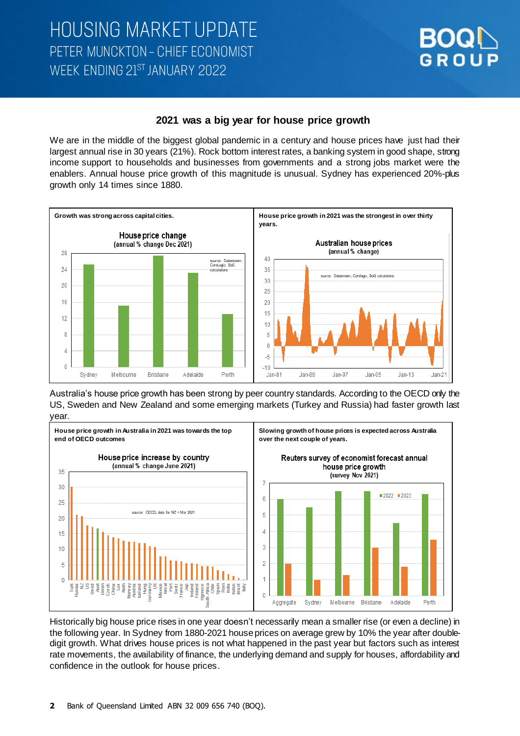

## **2021 was a big year for house price growth**

We are in the middle of the biggest global pandemic in a century and house prices have just had their largest annual rise in 30 years (21%). Rock bottom interest rates, a banking system in good shape, strong income support to households and businesses from governments and a strong jobs market were the enablers. Annual house price growth of this magnitude is unusual. Sydney has experienced 20%-plus growth only 14 times since 1880.



Australia's house price growth has been strong by peer country standards. According to the OECD only the US, Sweden and New Zealand and some emerging markets (Turkey and Russia) had faster growth last year.



Historically big house price rises in one year doesn't necessarily mean a smaller rise (or even a decline) in the following year. In Sydney from 1880-2021 house prices on average grew by 10% the year after doubledigit growth. What drives house prices is not what happened in the past year but factors such as interest rate movements, the availability of finance, the underlying demand and supply for houses, affordability and confidence in the outlook for house prices.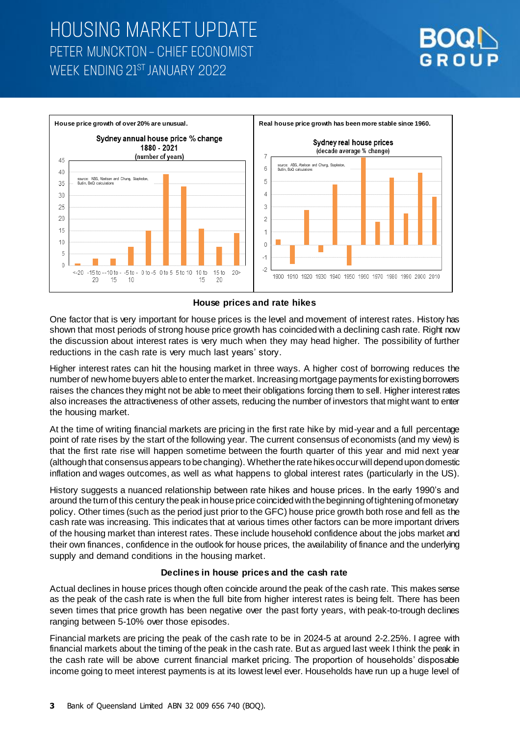# **HOUSING MARKET UPDATE** PETER MUNCKTON - CHIEF ECONOMIST WEEK ENDING 21ST JANUARY 2022



### **House prices and rate hikes**

One factor that is very important for house prices is the level and movement of interest rates. History has shown that most periods of strong house price growth has coincided with a declining cash rate. Right now the discussion about interest rates is very much when they may head higher. The possibility of further reductions in the cash rate is very much last years' story.

Higher interest rates can hit the housing market in three ways. A higher cost of borrowing reduces the number of new home buyers able to enter the market. Increasing mortgage payments forexisting borrowers raises the chances they might not be able to meet their obligations forcing them to sell. Higher interest rates also increases the attractiveness of other assets, reducing the number of investors that might want to enter the housing market.

At the time of writing financial markets are pricing in the first rate hike by mid-year and a full percentage point of rate rises by the start of the following year. The current consensus of economists (and my view) is that the first rate rise will happen sometime between the fourth quarter of this year and mid next year (although that consensus appears to be changing). Whether the rate hikesoccurwill depend upon domestic inflation and wages outcomes, as well as what happens to global interest rates (particularly in the US).

History suggests a nuanced relationship between rate hikes and house prices. In the early 1990's and around the turn of this century the peak in house price coincided with the beginning of tightening of monetary policy. Other times (such as the period just prior to the GFC) house price growth both rose and fell as the cash rate was increasing. This indicates that at various times other factors can be more important drivers of the housing market than interest rates. These include household confidence about the jobs market and their own finances, confidence in the outlook for house prices, the availability of finance and the underlying supply and demand conditions in the housing market.

## **Declines in house prices and the cash rate**

Actual declines in house prices though often coincide around the peak of the cash rate. This makes sense as the peak of the cash rate is when the full bite from higher interest rates is being felt. There has been seven times that price growth has been negative over the past forty years, with peak-to-trough declines ranging between 5-10% over those episodes.

Financial markets are pricing the peak of the cash rate to be in 2024-5 at around 2-2.25%. I agree with financial markets about the timing of the peak in the cash rate. But as argued last week I think the peak in the cash rate will be above current financial market pricing. The proportion of households' disposable income going to meet interest payments is at its lowest level ever. Households have run up a huge level of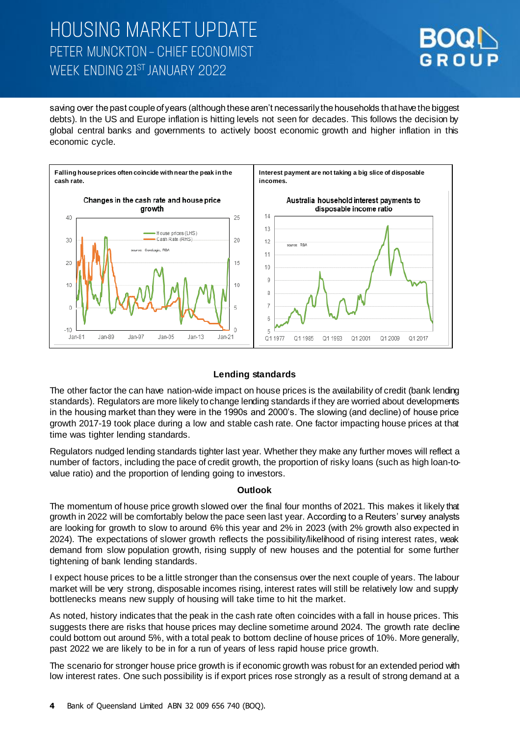# **HOUSING MARKET UPDATE** PETER MUNCKTON - CHIEF ECONOMIST WFFK FNDING 21ST JANUARY 2022



saving over the past couple of years (although these aren't necessarily the households that have the biggest debts). In the US and Europe inflation is hitting levels not seen for decades. This follows the decision by global central banks and governments to actively boost economic growth and higher inflation in this economic cycle.



## **Lending standards**

The other factor the can have nation-wide impact on house prices is the availability of credit (bank lending standards). Regulators are more likely to change lending standards if they are worried about developments in the housing market than they were in the 1990s and 2000's. The slowing (and decline) of house price growth 2017-19 took place during a low and stable cash rate. One factor impacting house prices at that time was tighter lending standards.

Regulators nudged lending standards tighter last year. Whether they make any further moves will reflect a number of factors, including the pace of credit growth, the proportion of risky loans (such as high loan-tovalue ratio) and the proportion of lending going to investors.

#### **Outlook**

The momentum of house price growth slowed over the final four months of 2021. This makes it likely that growth in 2022 will be comfortably below the pace seen last year. According to a Reuters' survey analysts are looking for growth to slow to around 6% this year and 2% in 2023 (with 2% growth also expected in 2024). The expectations of slower growth reflects the possibility/likelihood of rising interest rates, weak demand from slow population growth, rising supply of new houses and the potential for some further tightening of bank lending standards.

I expect house prices to be a little stronger than the consensus over the next couple of years. The labour market will be very strong, disposable incomes rising, interest rates will still be relatively low and supply bottlenecks means new supply of housing will take time to hit the market.

As noted, history indicates that the peak in the cash rate often coincides with a fall in house prices. This suggests there are risks that house prices may decline sometime around 2024. The growth rate decline could bottom out around 5%, with a total peak to bottom decline of house prices of 10%. More generally, past 2022 we are likely to be in for a run of years of less rapid house price growth.

The scenario for stronger house price growth is if economic growth was robust for an extended period with low interest rates. One such possibility is if export prices rose strongly as a result of strong demand at a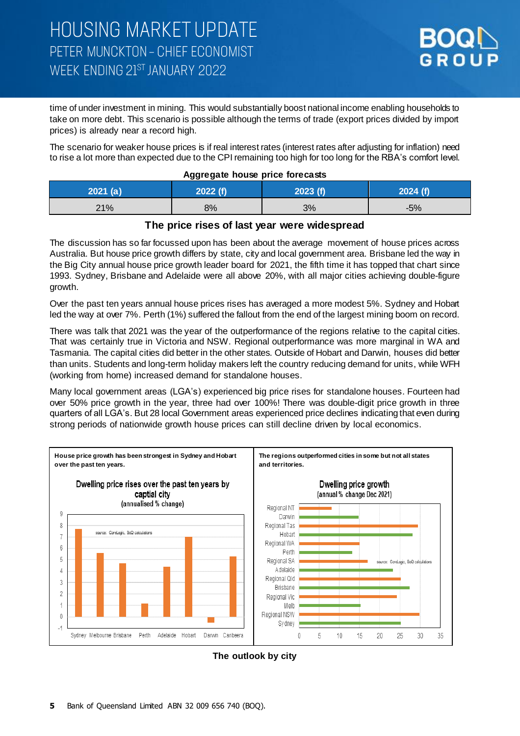

time of under investment in mining. This would substantially boost national income enabling households to take on more debt. This scenario is possible although the terms of trade (export prices divided by import prices) is already near a record high.

The scenario for weaker house prices is if real interest rates (interest rates after adjusting for inflation) need to rise a lot more than expected due to the CPI remaining too high for too long for the RBA's comfort level.

| riggiogato nouos prios isiocacio |          |          |       |  |
|----------------------------------|----------|----------|-------|--|
| 2021 (a)                         | 2022 If) | 2023 (f) |       |  |
| 21%                              | 8%       | 3%       | $-5%$ |  |

### **Aggregate house price forecasts**

## **The price rises of last year were widespread**

The discussion has so far focussed upon has been about the average movement of house prices across Australia. But house price growth differs by state, city and local government area. Brisbane led the way in the Big City annual house price growth leader board for 2021, the fifth time it has topped that chart since 1993. Sydney, Brisbane and Adelaide were all above 20%, with all major cities achieving double-figure growth.

Over the past ten years annual house prices rises has averaged a more modest 5%. Sydney and Hobart led the way at over 7%. Perth (1%) suffered the fallout from the end of the largest mining boom on record.

There was talk that 2021 was the year of the outperformance of the regions relative to the capital cities. That was certainly true in Victoria and NSW. Regional outperformance was more marginal in WA and Tasmania. The capital cities did better in the other states. Outside of Hobart and Darwin, houses did better than units. Students and long-term holiday makers left the country reducing demand for units, while WFH (working from home) increased demand for standalone houses.

Many local government areas (LGA's) experienced big price rises for standalone houses. Fourteen had over 50% price growth in the year, three had over 100%! There was double-digit price growth in three quarters of all LGA's. But 28 local Government areas experienced price declines indicating that even during strong periods of nationwide growth house prices can still decline driven by local economics.



### **The outlook by city**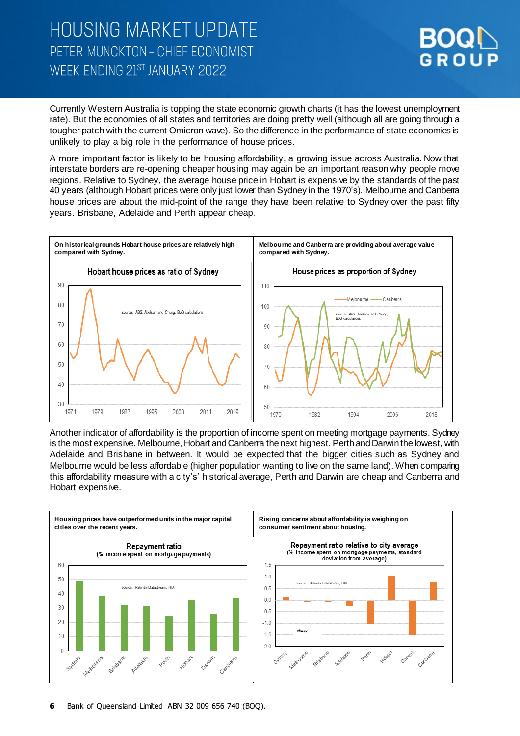## **HOUSING MARKET UPDATE** PETER MUNCKTON - CHIEF ECONOMIST WEEK FNDING 21ST JANUARY 2022



Currently Western Australia is topping the state economic growth charts (it has the lowest unemployment rate). But the economies of all states and territories are doing pretty well (although all are going through a tougher patch with the current Omicron wave). So the difference in the performance of state economies is unlikely to play a big role in the performance of house prices.

A more important factor is likely to be housing affordability, a growing issue across Australia. Now that interstate borders are re-opening cheaper housing may again be an important reason why people move regions. Relative to Sydney, the average house price in Hobart is expensive by the standards of the past 40 years (although Hobart prices were only just lower than Sydney in the 1970's). Melbourne and Canberra house prices are about the mid-point of the range they have been relative to Sydney over the past fifty years. Brisbane, Adelaide and Perth appear cheap.



Another indicator of affordability is the proportion of income spent on meeting mortgage payments. Sydney is the most expensive. Melbourne, Hobart and Canberra the next highest. Perth and Darwin the lowest, with Adelaide and Brisbane in between. It would be expected that the bigger cities such as Sydney and Melbourne would be less affordable (higher population wanting to live on the same land). When comparing this affordability measure with a city's' historical average, Perth and Darwin are cheap and Canberra and Hobart expensive.

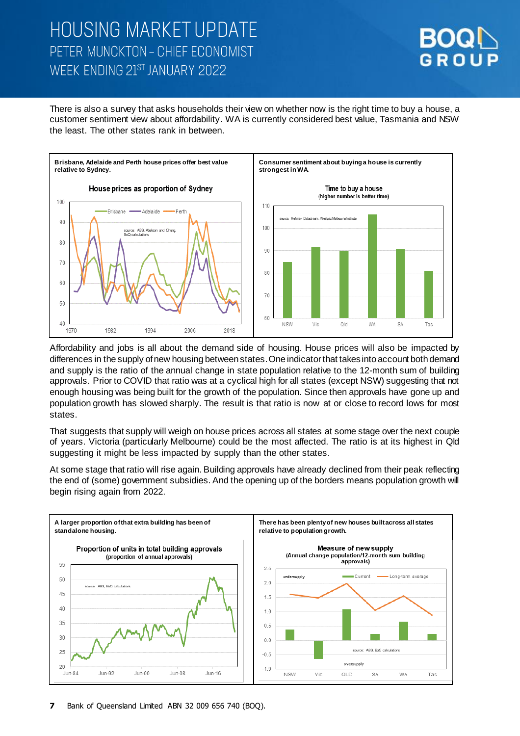# **HOUSING MARKET UPDATE** PETER MUNCKTON - CHIEF ECONOMIST WEEK FNDING 21ST JANUARY 2022



There is also a survey that asks households their view on whether now is the right time to buy a house, a customer sentiment view about affordability. WA is currently considered best value, Tasmania and NSW the least. The other states rank in between.



Affordability and jobs is all about the demand side of housing. House prices will also be impacted by differences in the supply of new housing between states. One indicator that takes into account both demand and supply is the ratio of the annual change in state population relative to the 12-month sum of building approvals. Prior to COVID that ratio was at a cyclical high for all states (except NSW) suggesting that not enough housing was being built for the growth of the population. Since then approvals have gone up and population growth has slowed sharply. The result is that ratio is now at or close to record lows for most states.

That suggests that supply will weigh on house prices across all states at some stage over the next couple of years. Victoria (particularly Melbourne) could be the most affected. The ratio is at its highest in Qld suggesting it might be less impacted by supply than the other states.

At some stage that ratio will rise again. Building approvals have already declined from their peak reflecting the end of (some) government subsidies. And the opening up of the borders means population growth will begin rising again from 2022.